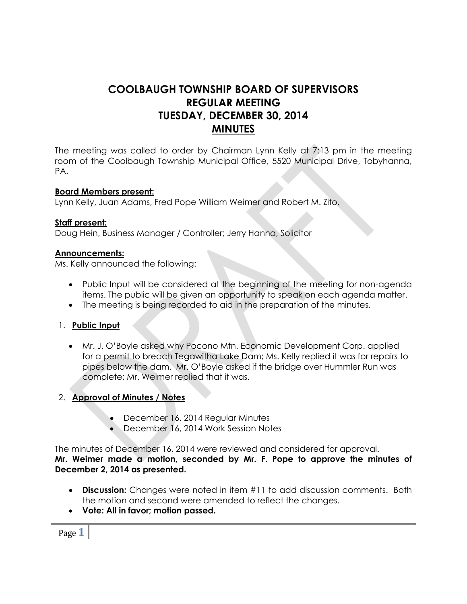# **COOLBAUGH TOWNSHIP BOARD OF SUPERVISORS REGULAR MEETING TUESDAY, DECEMBER 30, 2014 MINUTES**

The meeting was called to order by Chairman Lynn Kelly at 7:13 pm in the meeting room of the Coolbaugh Township Municipal Office, 5520 Municipal Drive, Tobyhanna, PA.

#### **Board Members present:**

Lynn Kelly, Juan Adams, Fred Pope William Weimer and Robert M. Zito.

#### **Staff present:**

Doug Hein, Business Manager / Controller; Jerry Hanna, Solicitor

#### **Announcements:**

Ms. Kelly announced the following:

- Public Input will be considered at the beginning of the meeting for non-agenda items. The public will be given an opportunity to speak on each agenda matter.
- The meeting is being recorded to aid in the preparation of the minutes.

# 1. **Public Input**

 Mr. J. O'Boyle asked why Pocono Mtn. Economic Development Corp. applied for a permit to breach Tegawitha Lake Dam; Ms. Kelly replied it was for repairs to pipes below the dam. Mr. O'Boyle asked if the bridge over Hummler Run was complete; Mr. Weimer replied that it was.

# 2. **Approval of Minutes / Notes**

- December 16, 2014 Regular Minutes
- December 16, 2014 Work Session Notes

The minutes of December 16, 2014 were reviewed and considered for approval. **Mr. Weimer made a motion, seconded by Mr. F. Pope to approve the minutes of December 2, 2014 as presented.**

- **Discussion:** Changes were noted in item #11 to add discussion comments. Both the motion and second were amended to reflect the changes.
- **Vote: All in favor; motion passed.**

Page **1**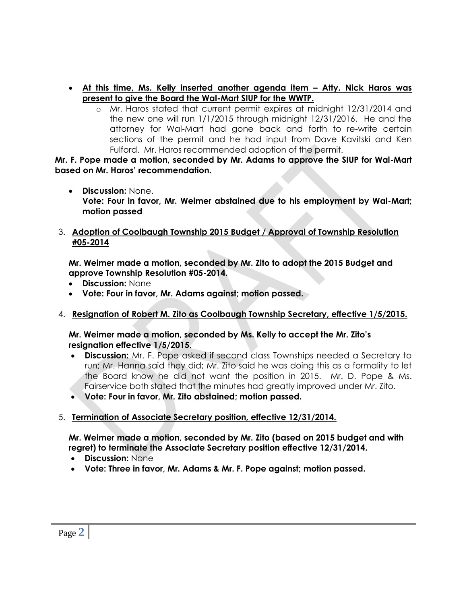- **At this time, Ms. Kelly inserted another agenda item – Atty. Nick Haros was present to give the Board the Wal-Mart SIUP for the WWTP.**
	- o Mr. Haros stated that current permit expires at midnight 12/31/2014 and the new one will run 1/1/2015 through midnight 12/31/2016. He and the attorney for Wal-Mart had gone back and forth to re-write certain sections of the permit and he had input from Dave Kavitski and Ken Fulford. Mr. Haros recommended adoption of the permit.

**Mr. F. Pope made a motion, seconded by Mr. Adams to approve the SIUP for Wal-Mart based on Mr. Haros' recommendation.**

 **Discussion:** None. **Vote: Four in favor, Mr. Weimer abstained due to his employment by Wal-Mart; motion passed**

# 3. **Adoption of Coolbaugh Township 2015 Budget / Approval of Township Resolution #05-2014**

**Mr. Weimer made a motion, seconded by Mr. Zito to adopt the 2015 Budget and approve Township Resolution #05-2014.**

- **Discussion:** None
- **Vote: Four in favor, Mr. Adams against; motion passed.**
- 4. **Resignation of Robert M. Zito as Coolbaugh Township Secretary, effective 1/5/2015.**

#### **Mr. Weimer made a motion, seconded by Ms. Kelly to accept the Mr. Zito's resignation effective 1/5/2015.**

- **Discussion:** Mr. F. Pope asked if second class Townships needed a Secretary to run; Mr. Hanna said they did; Mr. Zito said he was doing this as a formality to let the Board know he did not want the position in 2015. Mr. D. Pope & Ms. Fairservice both stated that the minutes had greatly improved under Mr. Zito.
- **Vote: Four in favor, Mr. Zito abstained; motion passed.**

# 5. **Termination of Associate Secretary position, effective 12/31/2014.**

**Mr. Weimer made a motion, seconded by Mr. Zito (based on 2015 budget and with regret) to terminate the Associate Secretary position effective 12/31/2014.**

- **Discussion:** None
- **Vote: Three in favor, Mr. Adams & Mr. F. Pope against; motion passed.**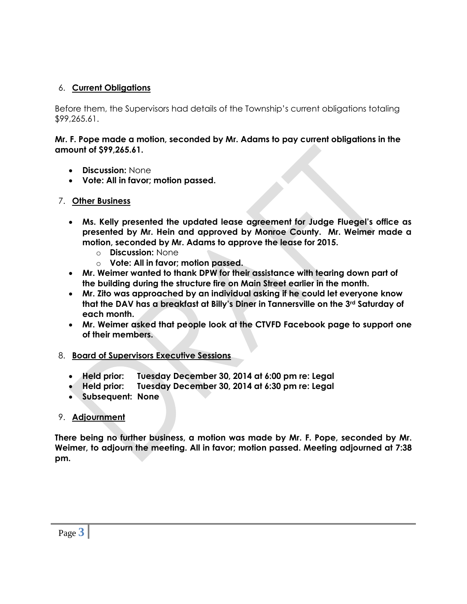# 6. **Current Obligations**

Before them, the Supervisors had details of the Township's current obligations totaling \$99,265.61.

#### **Mr. F. Pope made a motion, seconded by Mr. Adams to pay current obligations in the amount of \$99,265.61.**

- **Discussion:** None
- **Vote: All in favor; motion passed.**

# 7. **Other Business**

- **Ms. Kelly presented the updated lease agreement for Judge Fluegel's office as presented by Mr. Hein and approved by Monroe County. Mr. Weimer made a motion, seconded by Mr. Adams to approve the lease for 2015.**
	- o **Discussion:** None
	- o **Vote: All in favor; motion passed.**
- **Mr. Weimer wanted to thank DPW for their assistance with tearing down part of the building during the structure fire on Main Street earlier in the month.**
- **Mr. Zito was approached by an individual asking if he could let everyone know that the DAV has a breakfast at Billy's Diner in Tannersville on the 3rd Saturday of each month.**
- **Mr. Weimer asked that people look at the CTVFD Facebook page to support one of their members.**

# 8. **Board of Supervisors Executive Sessions**

- **Held prior: Tuesday December 30, 2014 at 6:00 pm re: Legal**
- **Held prior: Tuesday December 30, 2014 at 6:30 pm re: Legal**
- **Subsequent: None**

# 9. **Adjournment**

**There being no further business, a motion was made by Mr. F. Pope, seconded by Mr. Weimer, to adjourn the meeting. All in favor; motion passed. Meeting adjourned at 7:38 pm.**